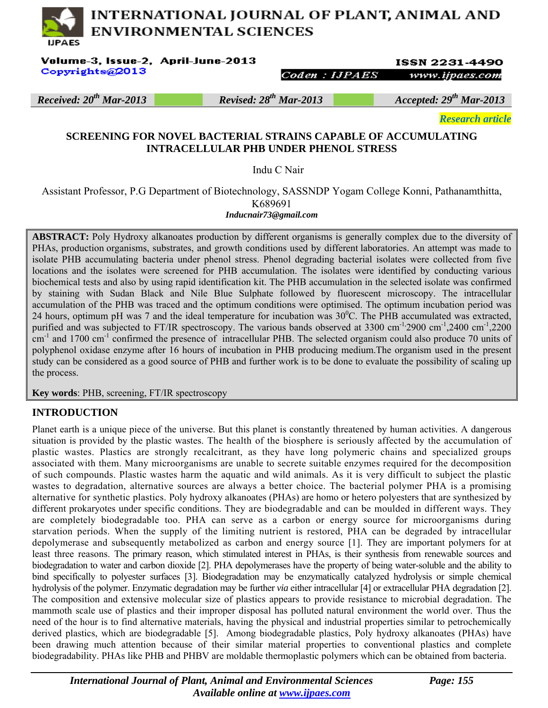# INTERNATIONAL JOURNAL OF PLANT, ANIMAL AND **ENVIRONMENTAL SCIENCES HPAES**

Volume-3, Issue-2, April-June-2013 Copyrights@2013

**ISSN 2231-4490** www.ijpaes.com

Coden: **HPAES** 

*Received: 20th Mar-2013 Revised: 28th Mar-2013 Accepted: 29th Mar-2013* 

*Research article* 

#### **SCREENING FOR NOVEL BACTERIAL STRAINS CAPABLE OF ACCUMULATING INTRACELLULAR PHB UNDER PHENOL STRESS**

Indu C Nair

Assistant Professor, P.G Department of Biotechnology, SASSNDP Yogam College Konni, Pathanamthitta, K689691 *Inducnair73@gmail.com* 

**ABSTRACT:** Poly Hydroxy alkanoates production by different organisms is generally complex due to the diversity of PHAs, production organisms, substrates, and growth conditions used by different laboratories. An attempt was made to isolate PHB accumulating bacteria under phenol stress. Phenol degrading bacterial isolates were collected from five locations and the isolates were screened for PHB accumulation. The isolates were identified by conducting various biochemical tests and also by using rapid identification kit. The PHB accumulation in the selected isolate was confirmed by staining with Sudan Black and Nile Blue Sulphate followed by fluorescent microscopy. The intracellular accumulation of the PHB was traced and the optimum conditions were optimised. The optimum incubation period was 24 hours, optimum pH was 7 and the ideal temperature for incubation was  $30^{\circ}$ C. The PHB accumulated was extracted, purified and was subjected to FT/IR spectroscopy. The various bands observed at  $3300 \text{ cm}^{-1}$ ,2900 cm<sup>-1</sup>,2400 cm<sup>-1</sup>,2200  $cm^{-1}$  and 1700  $cm^{-1}$  confirmed the presence of intracellular PHB. The selected organism could also produce 70 units of polyphenol oxidase enzyme after 16 hours of incubation in PHB producing medium.The organism used in the present study can be considered as a good source of PHB and further work is to be done to evaluate the possibility of scaling up the process.

**Key words**: PHB, screening, FT/IR spectroscopy

# **INTRODUCTION**

Planet earth is a unique piece of the universe. But this planet is constantly threatened by human activities. A dangerous situation is provided by the plastic wastes. The health of the biosphere is seriously affected by the accumulation of plastic wastes. Plastics are strongly recalcitrant, as they have long polymeric chains and specialized groups associated with them. Many microorganisms are unable to secrete suitable enzymes required for the decomposition of such compounds. Plastic wastes harm the aquatic and wild animals. As it is very difficult to subject the plastic wastes to degradation, alternative sources are always a better choice. The bacterial polymer PHA is a promising alternative for synthetic plastics. Poly hydroxy alkanoates (PHAs) are homo or hetero polyesters that are synthesized by different prokaryotes under specific conditions. They are biodegradable and can be moulded in different ways. They are completely biodegradable too. PHA can serve as a carbon or energy source for microorganisms during starvation periods. When the supply of the limiting nutrient is restored, PHA can be degraded by intracellular depolymerase and subsequently metabolized as carbon and energy source [1]. They are important polymers for at least three reasons. The primary reason, which stimulated interest in PHAs, is their synthesis from renewable sources and biodegradation to water and carbon dioxide [2]. PHA depolymerases have the property of being water-soluble and the ability to bind specifically to polyester surfaces [3]. Biodegradation may be enzymatically catalyzed hydrolysis or simple chemical hydrolysis of the polymer. Enzymatic degradation may be further *via* either intracellular [4] or extracellular PHA degradation [2]. The composition and extensive molecular size of plastics appears to provide resistance to microbial degradation. The mammoth scale use of plastics and their improper disposal has polluted natural environment the world over. Thus the need of the hour is to find alternative materials, having the physical and industrial properties similar to petrochemically derived plastics, which are biodegradable [5]. Among biodegradable plastics, Poly hydroxy alkanoates (PHAs) have been drawing much attention because of their similar material properties to conventional plastics and complete biodegradability. PHAs like PHB and PHBV are moldable thermoplastic polymers which can be obtained from bacteria.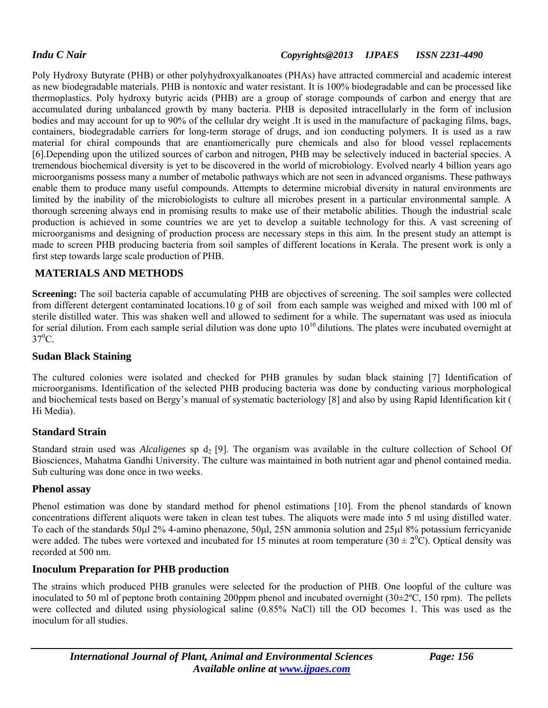#### *Indu C Nair Copyrights@2013 IJPAES ISSN 2231-4490*

Poly Hydroxy Butyrate (PHB) or other polyhydroxyalkanoates (PHAs) have attracted commercial and academic interest as new biodegradable materials. PHB is nontoxic and water resistant. It is 100% biodegradable and can be processed like thermoplastics. Poly hydroxy butyric acids (PHB) are a group of storage compounds of carbon and energy that are accumulated during unbalanced growth by many bacteria. PHB is deposited intracellularly in the form of inclusion bodies and may account for up to 90% of the cellular dry weight .It is used in the manufacture of packaging films, bags, containers, biodegradable carriers for long-term storage of drugs, and ion conducting polymers. It is used as a raw material for chiral compounds that are enantiomerically pure chemicals and also for blood vessel replacements [6].Depending upon the utilized sources of carbon and nitrogen, PHB may be selectively induced in bacterial species. A tremendous biochemical diversity is yet to be discovered in the world of microbiology. Evolved nearly 4 billion years ago microorganisms possess many a number of metabolic pathways which are not seen in advanced organisms. These pathways enable them to produce many useful compounds. Attempts to determine microbial diversity in natural environments are limited by the inability of the microbiologists to culture all microbes present in a particular environmental sample. A thorough screening always end in promising results to make use of their metabolic abilities. Though the industrial scale production is achieved in some countries we are yet to develop a suitable technology for this. A vast screening of microorganisms and designing of production process are necessary steps in this aim. In the present study an attempt is made to screen PHB producing bacteria from soil samples of different locations in Kerala. The present work is only a first step towards large scale production of PHB.

## **MATERIALS AND METHODS**

**Screening:** The soil bacteria capable of accumulating PHB are objectives of screening. The soil samples were collected from different detergent contaminated locations.10 g of soil from each sample was weighed and mixed with 100 ml of sterile distilled water. This was shaken well and allowed to sediment for a while. The supernatant was used as iniocula for serial dilution. From each sample serial dilution was done upto  $10^{10}$  dilutions. The plates were incubated overnight at  $37^0C$ .

#### **Sudan Black Staining**

The cultured colonies were isolated and checked for PHB granules by sudan black staining [7] Identification of microorganisms. Identification of the selected PHB producing bacteria was done by conducting various morphological and biochemical tests based on Bergy's manual of systematic bacteriology [8] and also by using Rapid Identification kit ( Hi Media).

## **Standard Strain**

Standard strain used was *Alcaligenes* sp d<sub>2</sub> [9]. The organism was available in the culture collection of School Of Biosciences, Mahatma Gandhi University. The culture was maintained in both nutrient agar and phenol contained media. Sub culturing was done once in two weeks.

#### **Phenol assay**

Phenol estimation was done by standard method for phenol estimations [10]. From the phenol standards of known concentrations different aliquots were taken in clean test tubes. The aliquots were made into 5 ml using distilled water. To each of the standards 50µl 2% 4-amino phenazone, 50µl, 25N ammonia solution and 25µl 8% potassium ferricyanide were added. The tubes were vortexed and incubated for 15 minutes at room temperature  $(30 \pm 2^0\hat{C})$ . Optical density was recorded at 500 nm.

## **Inoculum Preparation for PHB production**

The strains which produced PHB granules were selected for the production of PHB. One loopful of the culture was inoculated to 50 ml of peptone broth containing 200ppm phenol and incubated overnight  $(30\pm2^{\circ}C, 150$  rpm). The pellets were collected and diluted using physiological saline (0.85% NaCl) till the OD becomes 1. This was used as the inoculum for all studies.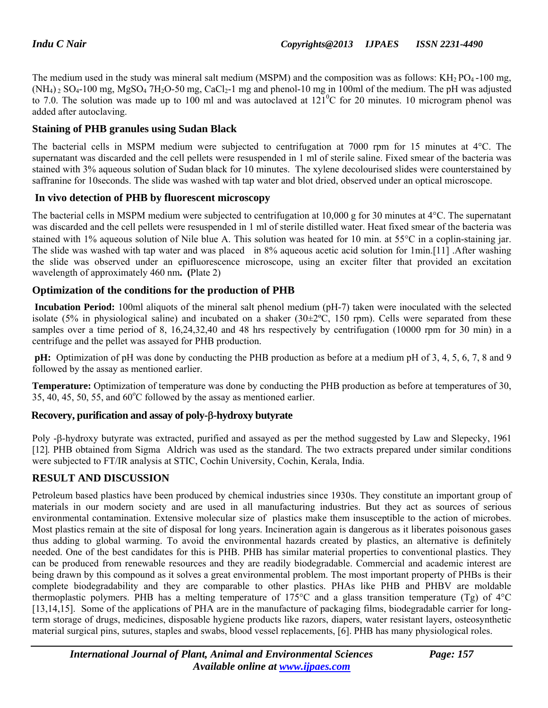The medium used in the study was mineral salt medium (MSPM) and the composition was as follows:  $KH_{2}PO_{4}$ -100 mg,  $(NH_4)$  2  $SO_4$ -100 mg, MgSO<sub>4</sub> 7H<sub>2</sub>O-50 mg, CaCl<sub>2</sub>-1 mg and phenol-10 mg in 100ml of the medium. The pH was adjusted to 7.0. The solution was made up to 100 ml and was autoclaved at  $121^{\circ}$ C for 20 minutes. 10 microgram phenol was added after autoclaving.

## **Staining of PHB granules using Sudan Black**

The bacterial cells in MSPM medium were subjected to centrifugation at 7000 rpm for 15 minutes at 4°C. The supernatant was discarded and the cell pellets were resuspended in 1 ml of sterile saline. Fixed smear of the bacteria was stained with 3% aqueous solution of Sudan black for 10 minutes. The xylene decolourised slides were counterstained by saffranine for 10seconds. The slide was washed with tap water and blot dried, observed under an optical microscope.

## **In vivo detection of PHB by fluorescent microscopy**

The bacterial cells in MSPM medium were subjected to centrifugation at 10,000 g for 30 minutes at  $4^{\circ}$ C. The supernatant was discarded and the cell pellets were resuspended in 1 ml of sterile distilled water. Heat fixed smear of the bacteria was stained with 1% aqueous solution of Nile blue A. This solution was heated for 10 min. at  $55^{\circ}$ C in a coplin-staining jar. The slide was washed with tap water and was placed in 8% aqueous acetic acid solution for 1min.[11] .After washing the slide was observed under an epifluorescence microscope, using an exciter filter that provided an excitation wavelength of approximately 460 nm**. (**Plate 2)

## **Optimization of the conditions for the production of PHB**

 **Incubation Period:** 100ml aliquots of the mineral salt phenol medium (pH-7) taken were inoculated with the selected isolate (5% in physiological saline) and incubated on a shaker (30±2ºC, 150 rpm). Cells were separated from these samples over a time period of 8, 16,24,32,40 and 48 hrs respectively by centrifugation (10000 rpm for 30 min) in a centrifuge and the pellet was assayed for PHB production.

**pH:** Optimization of pH was done by conducting the PHB production as before at a medium pH of 3, 4, 5, 6, 7, 8 and 9 followed by the assay as mentioned earlier.

**Temperature:** Optimization of temperature was done by conducting the PHB production as before at temperatures of 30,  $35, 40, 45, 50, 55,$  and  $60^{\circ}$ C followed by the assay as mentioned earlier.

## **Recovery, purification and assay of poly-**β**-hydroxy butyrate**

Poly -β-hydroxy butyrate was extracted, purified and assayed as per the method suggested by Law and Slepecky, 1961 [12]. PHB obtained from Sigma Aldrich was used as the standard. The two extracts prepared under similar conditions were subjected to FT/IR analysis at STIC, Cochin University, Cochin, Kerala, India.

## **RESULT AND DISCUSSION**

Petroleum based plastics have been produced by chemical industries since 1930s. They constitute an important group of materials in our modern society and are used in all manufacturing industries. But they act as sources of serious environmental contamination. Extensive molecular size of plastics make them insusceptible to the action of microbes. Most plastics remain at the site of disposal for long years. Incineration again is dangerous as it liberates poisonous gases thus adding to global warming. To avoid the environmental hazards created by plastics, an alternative is definitely needed. One of the best candidates for this is PHB. PHB has similar material properties to conventional plastics. They can be produced from renewable resources and they are readily biodegradable. Commercial and academic interest are being drawn by this compound as it solves a great environmental problem. The most important property of PHBs is their complete biodegradability and they are comparable to other plastics. PHAs like PHB and PHBV are moldable thermoplastic polymers. PHB has a melting temperature of 175°C and a glass transition temperature (Tg) of 4°C [13,14,15]. Some of the applications of PHA are in the manufacture of packaging films, biodegradable carrier for longterm storage of drugs, medicines, disposable hygiene products like razors, diapers, water resistant layers, osteosynthetic material surgical pins, sutures, staples and swabs, blood vessel replacements, [6]. PHB has many physiological roles.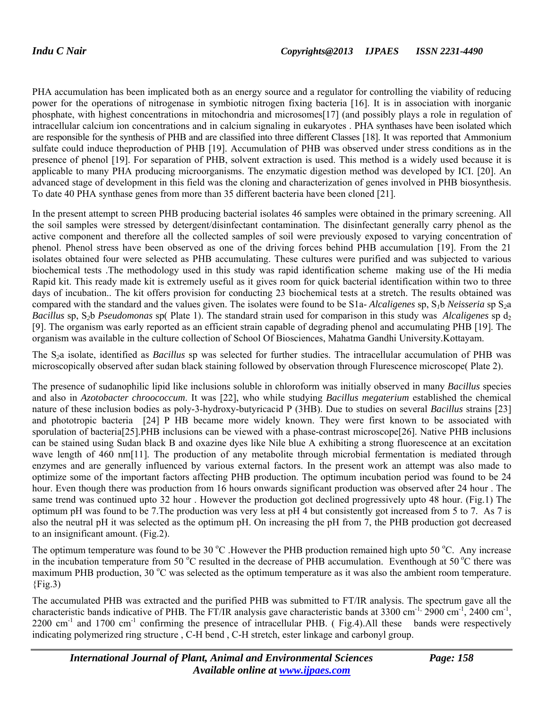PHA accumulation has been implicated both as an energy source and a regulator for controlling the viability of reducing power for the operations of nitrogenase in symbiotic nitrogen fixing bacteria [16]. It is in association with inorganic phosphate, with highest concentrations in mitochondria and microsomes[17] (and possibly plays a role in regulation of intracellular calcium ion concentrations and in calcium signaling in eukaryotes . PHA synthases have been isolated which are responsible for the synthesis of PHB and are classified into three different Classes [18]. It was reported that Ammonium sulfate could induce theproduction of PHB [19]. Accumulation of PHB was observed under stress conditions as in the presence of phenol [19]. For separation of PHB, solvent extraction is used. This method is a widely used because it is applicable to many PHA producing microorganisms. The enzymatic digestion method was developed by ICI. [20]. An advanced stage of development in this field was the cloning and characterization of genes involved in PHB biosynthesis. To date 40 PHA synthase genes from more than 35 different bacteria have been cloned [21].

In the present attempt to screen PHB producing bacterial isolates 46 samples were obtained in the primary screening. All the soil samples were stressed by detergent/disinfectant contamination. The disinfectant generally carry phenol as the active component and therefore all the collected samples of soil were previously exposed to varying concentration of phenol. Phenol stress have been observed as one of the driving forces behind PHB accumulation [19]. From the 21 isolates obtained four were selected as PHB accumulating. These cultures were purified and was subjected to various biochemical tests .The methodology used in this study was rapid identification scheme making use of the Hi media Rapid kit. This ready made kit is extremely useful as it gives room for quick bacterial identification within two to three days of incubation.. The kit offers provision for conducting 23 biochemical tests at a stretch. The results obtained was compared with the standard and the values given. The isolates were found to be S1a- *Alcaligenes* sp, S*1*b *Neisseria* sp S*2*a *Bacillus* sp, S<sub>2</sub>b *Pseudomonas* sp( Plate 1). The standard strain used for comparison in this study was *Alcaligenes* sp d<sub>2</sub> [9]. The organism was early reported as an efficient strain capable of degrading phenol and accumulating PHB [19]. The organism was available in the culture collection of School Of Biosciences, Mahatma Gandhi University.Kottayam.

The S*2*a isolate, identified as *Bacillus* sp was selected for further studies. The intracellular accumulation of PHB was microscopically observed after sudan black staining followed by observation through Flurescence microscope( Plate 2).

The presence of sudanophilic lipid like inclusions soluble in chloroform was initially observed in many *Bacillus* species and also in *Azotobacter chroococcum*. It was [22], who while studying *Bacillus megaterium* established the chemical nature of these inclusion bodies as poly-3-hydroxy-butyricacid P (3HB). Due to studies on several *Bacillus* strains [23] and phototropic bacteria [24] P HB became more widely known. They were first known to be associated with sporulation of bacteria[25].PHB inclusions can be viewed with a phase-contrast microscope[26]. Native PHB inclusions can be stained using Sudan black B and oxazine dyes like Nile blue A exhibiting a strong fluorescence at an excitation wave length of 460 nm[11]. The production of any metabolite through microbial fermentation is mediated through enzymes and are generally influenced by various external factors. In the present work an attempt was also made to optimize some of the important factors affecting PHB production. The optimum incubation period was found to be 24 hour. Even though there was production from 16 hours onwards significant production was observed after 24 hour . The same trend was continued upto 32 hour . However the production got declined progressively upto 48 hour. (Fig.1) The optimum pH was found to be 7.The production was very less at pH 4 but consistently got increased from 5 to 7. As 7 is also the neutral pH it was selected as the optimum pH. On increasing the pH from 7, the PHB production got decreased to an insignificant amount. (Fig.2).

The optimum temperature was found to be 30  $^{\circ}$ C. However the PHB production remained high upto 50  $^{\circ}$ C. Any increase in the incubation temperature from 50  $\rm{^{\circ}C}$  resulted in the decrease of PHB accumulation. Eventhough at 50  $\rm{^{\circ}C}$  there was maximum PHB production, 30 °C was selected as the optimum temperature as it was also the ambient room temperature.  ${Fig.3}$ 

The accumulated PHB was extracted and the purified PHB was submitted to FT/IR analysis. The spectrum gave all the characteristic bands indicative of PHB. The FT/IR analysis gave characteristic bands at  $3300 \text{ cm}^{-1}$ ,  $2900 \text{ cm}^{-1}$ ,  $2400 \text{ cm}^{-1}$ , 2200 cm<sup>-1</sup> and 1700 cm<sup>-1</sup> confirming the presence of intracellular PHB. (Fig.4).All these bands were respectively indicating polymerized ring structure , C-H bend , C-H stretch, ester linkage and carbonyl group.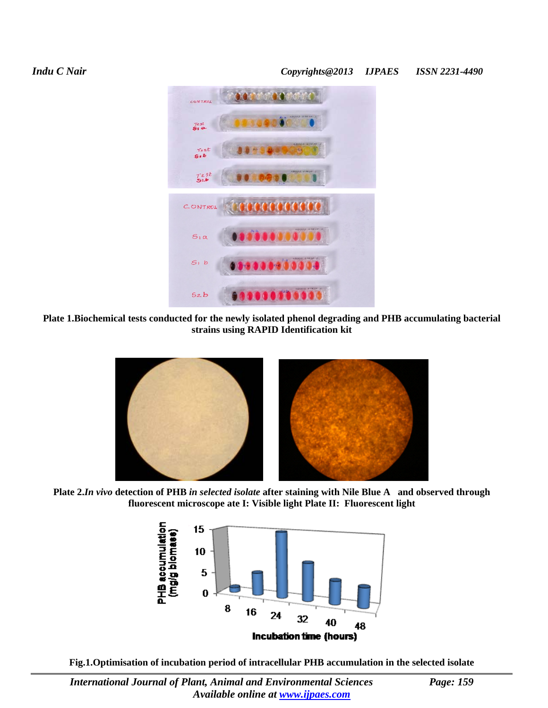# *Indu C Nair Copyrights@2013 IJPAES ISSN 2231-4490*



**Plate 1.Biochemical tests conducted for the newly isolated phenol degrading and PHB accumulating bacterial strains using RAPID Identification kit** 



**Plate 2.***In vivo* **detection of PHB** *in selected isolate* **after staining with Nile Blue A and observed through fluorescent microscope ate I: Visible light Plate II: Fluorescent light** 



**Fig.1.Optimisation of incubation period of intracellular PHB accumulation in the selected isolate**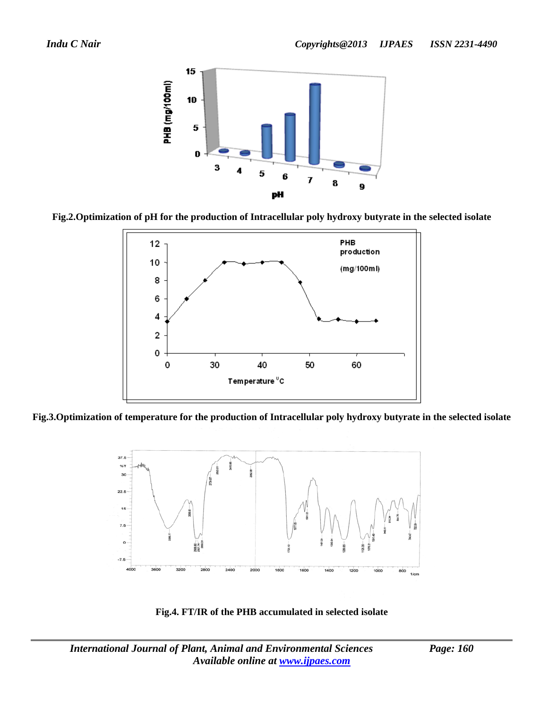





**Fig.3.Optimization of temperature for the production of Intracellular poly hydroxy butyrate in the selected isolate**



**Fig.4. FT/IR of the PHB accumulated in selected isolate**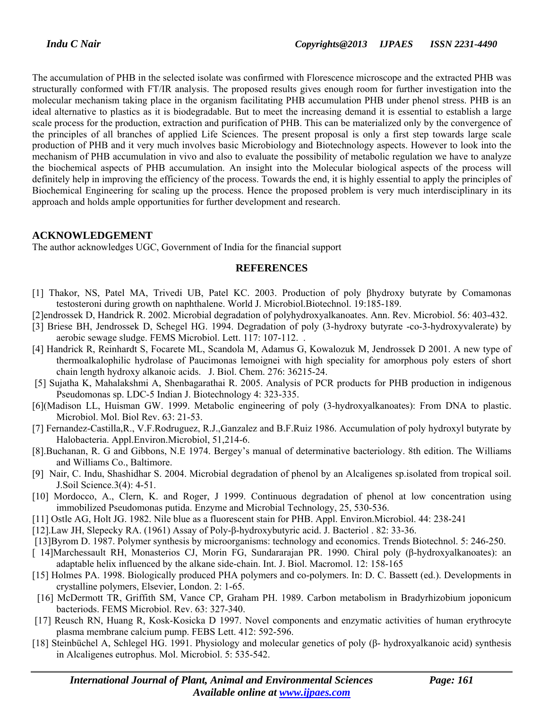The accumulation of PHB in the selected isolate was confirmed with Florescence microscope and the extracted PHB was structurally conformed with FT/IR analysis. The proposed results gives enough room for further investigation into the molecular mechanism taking place in the organism facilitating PHB accumulation PHB under phenol stress. PHB is an ideal alternative to plastics as it is biodegradable. But to meet the increasing demand it is essential to establish a large scale process for the production, extraction and purification of PHB. This can be materialized only by the convergence of the principles of all branches of applied Life Sciences. The present proposal is only a first step towards large scale production of PHB and it very much involves basic Microbiology and Biotechnology aspects. However to look into the mechanism of PHB accumulation in vivo and also to evaluate the possibility of metabolic regulation we have to analyze the biochemical aspects of PHB accumulation. An insight into the Molecular biological aspects of the process will definitely help in improving the efficiency of the process. Towards the end, it is highly essential to apply the principles of Biochemical Engineering for scaling up the process. Hence the proposed problem is very much interdisciplinary in its approach and holds ample opportunities for further development and research.

# **ACKNOWLEDGEMENT**

The author acknowledges UGC, Government of India for the financial support

#### **REFERENCES**

- [1] Thakor, NS, Patel MA, Trivedi UB, Patel KC. 2003. Production of poly βhydroxy butyrate by Comamonas testosteroni during growth on naphthalene. World J. Microbiol.Biotechnol. 19:185-189.
- [2]endrossek D, Handrick R. 2002. Microbial degradation of polyhydroxyalkanoates. Ann. Rev. Microbiol. 56: 403-432.
- [3] Briese BH, Jendrossek D, Schegel HG. 1994. Degradation of poly (3-hydroxy butyrate -co-3-hydroxyvalerate) by aerobic sewage sludge. FEMS Microbiol. Lett. 117: 107-112. .
- [4] Handrick R, Reinhardt S, Focarete ML, Scandola M, Adamus G, Kowalozuk M, Jendrossek D 2001. A new type of thermoalkalophilic hydrolase of Paucimonas lemoignei with high speciality for amorphous poly esters of short chain length hydroxy alkanoic acids. J. Biol. Chem. 276: 36215-24.
- [5] Sujatha K, Mahalakshmi A, Shenbagarathai R. 2005. Analysis of PCR products for PHB production in indigenous Pseudomonas sp. LDC-5 Indian J. Biotechnology 4: 323-335.
- [6](Madison LL, Huisman GW. 1999. Metabolic engineering of poly (3-hydroxyalkanoates): From DNA to plastic. Microbiol. Mol. Biol Rev. 63: 21-53.
- [7] Fernandez-Castilla,R., V.F.Rodruguez, R.J.,Ganzalez and B.F.Ruiz 1986. Accumulation of poly hydroxyl butyrate by Halobacteria. Appl.Environ.Microbiol, 51,214-6.
- [8].Buchanan, R. G and Gibbons, N.E 1974. Bergey's manual of determinative bacteriology. 8th edition. The Williams and Williams Co., Baltimore.
- [9] Nair, C. Indu, Shashidhar S. 2004. Microbial degradation of phenol by an Alcaligenes sp.isolated from tropical soil. J.Soil Science.3(4): 4-51.
- [10] Mordocco, A., Clern, K. and Roger, J 1999. Continuous degradation of phenol at low concentration using immobilized Pseudomonas putida. Enzyme and Microbial Technology, 25, 530-536.
- [11] Ostle AG, Holt JG. 1982. Nile blue as a fluorescent stain for PHB. Appl. Environ.Microbiol. 44: 238-241
- [12].Law JH, Slepecky RA. (1961) Assay of Poly-β-hydroxybutyric acid. J. Bacteriol . 82: 33-36.
- [13]Byrom D. 1987. Polymer synthesis by microorganisms: technology and economics. Trends Biotechnol. 5: 246-250.
- [ 14]Marchessault RH, Monasterios CJ, Morin FG, Sundararajan PR. 1990. Chiral poly (β-hydroxyalkanoates): an adaptable helix influenced by the alkane side-chain. Int. J. Biol. Macromol. 12: 158-165
- [15] Holmes PA. 1998. Biologically produced PHA polymers and co-polymers. In: D. C. Bassett (ed.). Developments in crystalline polymers, Elsevier, London. 2: 1-65.
- [16] McDermott TR, Griffith SM, Vance CP, Graham PH. 1989. Carbon metabolism in Bradyrhizobium joponicum bacteriods. FEMS Microbiol. Rev. 63: 327-340.
- [17] Reusch RN, Huang R, Kosk-Kosicka D 1997. Novel components and enzymatic activities of human erythrocyte plasma membrane calcium pump. FEBS Lett. 412: 592-596.
- [18] Steinbüchel A, Schlegel HG. 1991. Physiology and molecular genetics of poly (β- hydroxyalkanoic acid) synthesis in Alcaligenes eutrophus. Mol. Microbiol. 5: 535-542.